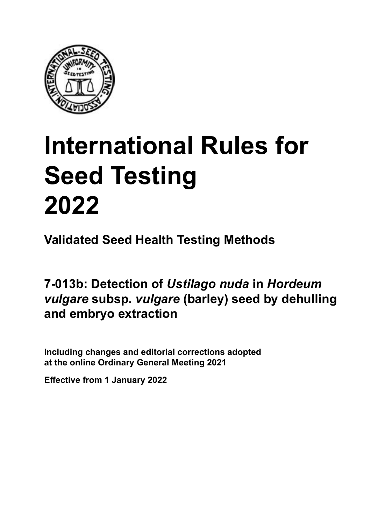

# **International Rules for Seed Testing von Saatgut 2022 2022 Semences 2022 International Rules for Seed Testing 2022**

**Métodos Validados para Análisis de Sanidad de Semillas Validate Méthodes Validées pour Analyse Sanitaire des Semences Validated Seed Health Testing Methods**

7-013b: Detection of *Ustilago nuda* in *Hordeum vulgare* **subsp.** *vulgare* **(barley) seed by dehulling descascarado extraction embryo extraction 7‑013b: Nachweis von** *Ustilago nuda* **an Samen Détection d'***Ustilago nuda* **sur semences von** *Hordeum vulgare* **subsp.** *vulgare* **(Gerste) de** *Hordeum vulgare* **subsp.** *vulgare* **(orge) par**  raigaic Sabopi raigaic (bailey) cood by a<br>and embryo extraction **extraction" d'embryons** raigaic dasapi raigaic (sario*j)* doca sy admaning **7‑013b: Detection of** *Ustilago nuda* **in** *Hordeum vulgare* **subsp.** *vulgare* **(barley) seed by dehulling and embryo extraction**

Including changes and editorial corrections adopted at the online Ordinary General Meeting 2021

**Effective from 1 January 2022**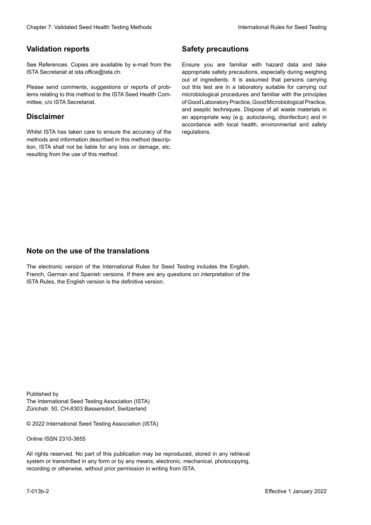# **Validation reports**

See References. Copies are available by e-mail from the<br>ISTA Secretariat at ista.office@ista.ch. ISTA Secretariat at ista.office@ista.ch.

lems relating to this method to the ISTA Seed Health Com-<br>mittee, c/o ISTA Secretariat. mittee, c/o ISTA Secretariat.<br>i Please send comments, suggestions or reports of prob-

# **Limitation de responsabilité Disclaimer**

Whilst ISTA has taken care to ensure the accuracy of the<br>methods and information described in this method description, ISTA shall not be liable for any loss or damage, etc.<br>resulting from the use of this method.<br>. resulting from the use of this method. Whilst ISTA has taken care to ensure the accuracy of the methods and information described in this method descrip-<br>tion, ISTA shall not be liable for any loss or damage, etc. tion, ISTA shall not be liable for any loss or damage, etc.<br>resulting from the use of this method.

# **Medidas de seguridad Sicherheitsmaßnahmen Sécurité Safety precautions**

Ensure you are familiar with hazard data and take Ensure you are familiar with hazard data and take<br>appropriate safety precautions, especially during weighing out of ingredients. It is assumed that persons carrying out this test are in a laboratory suitable for carrying out microbiological procedures and familiar with the principles of Good Laboratory Practice, Good Microbiological Practice, and aseptic techniques. Dispose of all waste materials in an appropriate way (e.g. autoclaving, disinfection) and in accordance with local health, environmental and safety regulations. Glade 7: Validated Deed Health Testing holes by Safety precentions and the Sack Testing Constraints of the Sack Testing Constraints of the Unit of Constraints of the Sack Testing von Sandy Deed Constraints and the Vorschri microbiological procedures and familiar with the principles<br>of Good Laboratory Practice, Good Microbiological Practice,<br>and aseptic techniques. Dispose of all waste materials in<br>an appropriate way (e.g. autoclaving, disinf fallstoffe sind auf geeignete Weise und entsprechend der vor Ort über der vor Ort über und Umwelt- und Umwelt-<br>Eine und Umwelt-Effective Counter of Nicolastic Counter of Nicolastic Counter of Nicolastic Counter of Nicolastic Counter Méthodes validations of the Counter Méthodes validations of the Counter Counter Méthodes validations of the Counter of Good Laboratory Practice, Good Microbiological Practice,<br>and aseptic techniques. Dispose of all waste materials in<br>an appropriate way (e.g. autoclaving, disinfection) and in Validation reports<br>
Since The Texture 1988 and the system of the Since Theorem and the Since Theorem and the system of the Since The Since The Since The Since The Since The Since The Since The Since The Since The Since The Ensure you are familiar with hazard data and take<br>appropriate safety precautions, especially during weighing<br>out of ingredients. It is assumed that persons carrying<br>out this test are in a laboratory suitable for carrying o

# **Nota sobre el uso de traducciones Anmerkung zur Benutzung der Übersetzungen Note on the use of the translations**

The electronic version of the International Rules for Seed Testing includes the English, French, German and Spanish versions. If there are any questions on interpretation of the ISTA Rules, the English version is the definitive version. The electronic version of the International Rules for Seed Testing includes the English,<br>French, German and Spanish versions. If there are any questions on interpretation of the<br>ISTA Rules, the English version is the defin The electronic version of the International Rules for Seed Testing includes the English,<br>French, German and Spanish versions. If there are any questions on interpretation of the

Published by **Extending Association (ISTA)** The International Seed Testing Association (ISTA) Zürichstr. 50, CH-8303 Bassersdorf, Switzerland

© 2022 International Seed Testing Association (ISTA)

Alle Rechte vorbehalten. Kein Teil dieses Werkes darf in irgendwelcher Form oder durch Online ISSN 2310-3655

All rights reserved. No part of this publication may be reproduced, stored in any retrieval All rights reserved. No part of this publication may be reproduced, stored in any retrieval<br>system or transmitted in any form or by any means, electronic, mechanical, photocopying,<br>recording or otherwise, without prior per recording or otherwise, without prior permis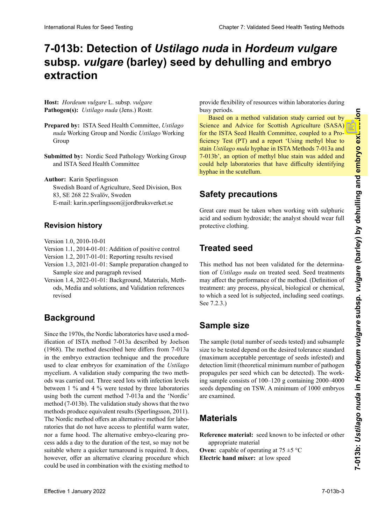# 7-013b: Detection of *Ustilago nuda* in *Hordeum vulgare* subsp. *vulgare* (barley) seed by dehulling and embryo **descascarado y extracción embrionaria Entspelzung und "floating embryo extraction" d'extraction par décorticage et flottaison d'embryons extraction**

**Hospedante:** *Hordeum vulgare* L. subsp. *vulgare* **Host:** *Hordeum vulgare* L. subsp. *vulgare* Pathogen(s): Ustilago nuda (Jens.) Rostr.

- **Prepared by: ISTA Seed Health Committee,** *Ustilago* nuda Working Group and Nordic Ustilago Working Group *nuda* Working Group und Nordic *Ustilago* Working de travail *Ustilago nuda* et groupe de travail nordique Group Group *Ustilago nuda*
- Submitted by: Nordic Seed Pathology Working Group and ISTA Seed Health Committee

Author: Karin Sperlingsson Swedish Board of Agriculture, Seed Division, Box 83, E-Mail: karin.sperlingsson@jordbruksverket.se Courriel : Karin.sperlingsson@jordbruksverket.se Swedish Board of Agriculture, Seed Division, Box SE 268 22 Svalöv, Sweden 83, SE 268 22 Svalöv, Sweden E-mail: karin.sperlingsson@jordbruksverket.se **Revisionsstand Historique de la révision** E-mail: karin.sperlingsson@jordbruksverket.se

## **H**ovision bistory **Revision history**

- $V = 1.0, 2010, 10.01$  $\frac{1.0, 2010 - 1}{2011}$  $2010^{10.01}$ Version 1.0, 2010-10-01
- Version 1.0, 2010-10-01<br>Se agrega el control positivo el control positivo el control positivo el control positivo el control positivo Version 1.1, 2014-01-01: Addition of positive control
- Version 1.2, 2017-01-01: Reporting results revised
- Version 1.3, 2021-01-01: Sample preparation changed to Sample size and paragraph revised
- Version 1.4, 2022-01-01: Background, Materials, Methods, Media and solutions, and Validation references revised

## **Antecedentes** Seit den 70er Jahren haben die Nordischen Labore eine **Background Historique**

Since the 1970s, the Nordic laboratories have used a modification of ISTA method 7-013a described by Joelson (1968). The method described here differs from 7-013a in the embryo extraction technique and the procedure<br>used to clear embryos for examination of the *Ustilago*<br>mycelium. A validation study comparing the two methused to clear embryos for examination of the *Ustilago* mycelium. A validation study comparing the two methods was carried out. Three seed lots with infection levels between 1 % and 4 % were tested by three laboratories using both the current method  $7-013a$  and the 'Nordic' method (7-013b). The validation study shows that the two methods produce equivalent results (Sperlingsson, 2011). The Nordic method offers an alternative method for laboratories that do not have access to plentiful warm water, nor a fume hood. The alternative embryo-clearing process adds a day to the duration of the test, so may not be no ser adecuado do de ser adecuado do de ser a regular rotación. No ser extende rotación de la constructiva ro  $\alpha$  or  $\alpha$  quicker unnaround is required. It does, however, offer an alternative clearing procedure which suitable where a quicker turnaround is required. It does,<br>however, offer an alternative clearing procedure which (1968). The method described here differs from 7-013a in the embryo extraction technique and the procedure between 1 % and 4 % were tested by three laboratories<br>using both the current method 7-013a and the 'Nordic'<br>method (7-013b). The validation study shows that the two<br>methods produce equivalent results (Sperlingsson, 2011).<br> could be used in combination with the existing method to blanchond Robe Is See Toms comparison to the **Calibratic Control in the Control Control in the Calibratic Control in the Control Control in the Control Control in the Control Control in the Control Control in the Control** using both the current method 7-013a and the 'Nordic'

provide flexibility of resources within laboratories during busy periods.

Based on a method validation study carried out by Based on a method validation study carried out by<br>Science and Advice for Scottish Agriculture (SASA) for the ISTA Seed Health Committee, coupled to a Pro-<br>ficiency Test (PT) and a report 'Using methyl blue to<br>stain *Ustilago nuda* hyphae in ISTA Methods 7-013a and ficiency Test (PT) and a report 'Using methyl blue to stain *Ustilago nuda* hyphae in ISTA Methods 7-013a and stain *Ustilago nuda* hyphae in ISTA Methods 7-013a and stain *Ustilago nuda* hyphae in ISTA Methods 7-013a and 7-013b', an option of methyl blue stain was added and<br>could help laboratories that have difficulty identifying<br>hyphae in the scutellum could help laboratories that have difficulty identifying hyphae in the scutellum.  $\overline{\mathcal{M}}$ pourrait aider les laboratoires qui ont des difficultés pour identifier les hyphes dans le scutellum.

# **Safety precautions**

Se debe tener mucho cuidado cuando se trabaja con ácido sid en la sadium bedasarido, the sookert chand supporte acid and sodium hydroxide; the analyst should wear full **Since Sides** and social surface the state of the state of the state of the state of the state of the state of the state of the state of the state of the state of the state of the state of the state of the state of the sta protective clothing. Great care must be taken when working with sulphuric protective cionning.

# **Treated seed**

Este método no ha sido validado para la determinación This method has not been validated for the determination of *Ustilago nuda* on treated seed. Seed treatments may affect the performance of the method. (Definition of may affect the performance of the method. (Definition of<br>treatment: any process, physical, biological or chemical, to which a seed lot is subjected, including seed coatings.  $\text{See } 7.2.3.$ )

### **Tamaño de la muestra** dem eine Saatgutpartie unterzogen (Saatgutumhüllungen) **Sample size** ou chimique, auxquels est soumis un lot de semences, y compris l'enrobage. Voir 7.2.3.)

The sample (total number of seeds tested) and subsample size to be tested depend on the desired tolerance standard (maximum acceptable percentage of seeds infested) and detection limit (theoretical minimum number of pathogen<br>propagules per seed which can be detected). The work-<br>ing sample consists of  $100-120$  g containing  $2000-4000$ propagules per seed which can be detected). The working sample consists of  $100-120$  g containing  $2000-4000$ seeds depending on TSW. A minimum of 1000 embryos are examined.

#### **Material de referencia:** semilla que se sabe que está in-2000–4000 Samen enthalten. Es werden mindestens 1000 1000 embryons est examiné. **Materials**  $\cdots$

**Reference material:** seed known to be infected or other **Exercice material:** seed known

**Oven:** capable of operating at  $75 \pm 5$  °C **Theorie:** Component de bronce:  $\frac{1}{2}$  mm, containing at  $\frac{1}{2}$   $\rightarrow$   $\frac{1}{2}$ **Mathematic de référence intervention de référence du**  $\mathbf{r}$  **de référence du**  $\mathbf{r}$ 

 $\alpha$  malla matrix at low speed **Electric hand mixer:** at low speed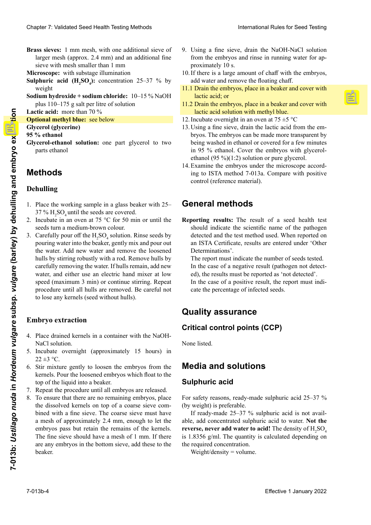**Brass sieves:** 1 mm mesh, with one additional sieve of larger mesh (approx. 2.4 mm) and an additional fine<br>sieve with mesh smaller than 1 mm sieve with mesh smaller than 1 mm

**Microscope:** with substage illumination

- **Sulphuric acid**  $(H_2SO_4)$ **: concentration 25–37 % by Acide sulfuride Geschwindigkeit SO4**
- **Sodium hydroxide + sodium chloride:** 10–15 % NaOH plus 110–175 g salt per litre of solution<br>Lactic acid: more than 70 %

**Lactic acid:** more than 70 %

**Solutional methyl blue:** see below

**SO4**

- **Glycerol (glycerine)**
- **Schwefelsäure (H2 Glycérol (glycérine) 95 % ethanol**
- **Miyceroi-etha**<br>narts ethan or *se in* ten to the neglection of the next always to two two  $\alpha$ ports othered parts centers. **Éthanol :** 95 % **Slycerol-ethanol solution:** one part glycerol to two nexts ethanol parts ethanol

#### $1.91.043$ **Mothode Ethanol (95 %) Méthodes Methods**

## hullino con  $\mathbb{R}^n$ **Dehulling**<br> **Dehulling**

- 2. Incubar en una estufa a 75 °C por 50 minutos o hasta 1. Place the working sample in a glass beaker with  $25 37 \%$  H<sub>2</sub>SO<sub>4</sub> until the seeds are covered. SO4 . Enjuagar
- $37\%$  H<sub>2</sub>SO<sub>4</sub> until the seeds are covered.<br>2. Incubate in an oven at 75 °C for 50 min or until the seeds turn a medium-brown colour.
- Carefully pour off the  $H_2SO_4$  solution. Rinse seeds by pouring water into the beaker, gently mix and pour out the water. Add new water and remove the loosened the water. Add new water and remove the loosened<br>hulls by stirring robustly with a rod. Remove hulls by carefully removing the water. If hulls remain, add new water, and either use an electric hand mixer at low speed (maximum 3 min) or continue stirring. Repeat speed (maximum 3 min) or continue stirring. Repeat<br>procedure until all hulls are removed. Be careful not<br>to lose any kernels (seed without hulls). Clearly 7: Michael Speed Peeti) Territory foliologies in the case of the speed of the speed of the speed of the speed of the speed of the speed of the speed of the speed of the speed of the speed of the speed of the speed to lose any kernels (seed without hulls). Charles 2. Voidates Sear Desetin de Barach et antes de la construction de la construction de la construction de la construction de la construction de la construction de la construction de la construction de la constructio 2. Seeds turn a medium-brown colour.<br>
3. Carefully pour off the  $H_2SO_4$  solution. Rinse seeds by<br>
pouring water into the beaker, gently mix and pour out hulls by stirring robustly with a rod. Remove hulls by<br>carefully removing the water. If hulls remain, add new<br>water, and either use an electric hand mixer at low Example 1 and 10 **Learning the subspace of the subspace of the subsp. 1 January 2022**<br> **Example 1 distance of the subspace of the subspace of the subspace of the subspace of the subsp. 11 and 1 and 1 and 1 and 1 and 1 and** 3. Carefully pour off the  $H_2SO_4$  solution. Rinse seeds by

#### 4. Colocar los granos drenados en un contenedor con so-**Embryo extraction** zen zurückbleiben, neues Wasser hinzufügen und ent-

- 4. Place drained kernels in a container with the NaOH-5. Incubar durante la noche (aproximadamente 15 horas) **Extraction des embryons** NaCl solution. NaCl solution.<br>5. Incubate overnight (approximately 15 hours) in
- $22 \pm 3$  °C. 22  $\pm$ 3 °C.<br>6. Stir mixture gently to loosen the embryos from the
- star and the superior of the line of the line of the line of the line of the line of the line of the line of the line of the line of the line of the line of the line of the line of the line of the line of the line of the l top of the liquid into a beaker.
- repitation based and a verser.<br>**Extract in** the procedure until all embryos are released.
- estén liberados du limit du cineryos de recessed.<br>8. To ensure that there are no remaining embryos, place 1. Processure that there are no remaining embryon, place the dissolved kernels on top of a coarse sieve comthe dissolved Keiners on top of a coarse sieve comunica with a fine sieve. The coarse sieve must flave a mesh of approximately 2.4 mm, enough to let the a mesh of approximately 2.4 mm, enough to let the<br>embryos pass but retain the remains of the kernels. The fine sieve should have a mesh of 1 mm. If there are any embryos in the bottom sieve, add these to the beaker.  $\frac{1}{2}$   $\frac{1}{2}$   $\frac{1}{2}$   $\frac{1}{2}$   $\frac{1}{2}$   $\frac{1}{2}$   $\frac{1}{2}$   $\frac{1}{2}$   $\frac{1}{2}$   $\frac{1}{2}$   $\frac{1}{2}$   $\frac{1}{2}$   $\frac{1}{2}$   $\frac{1}{2}$   $\frac{1}{2}$   $\frac{1}{2}$   $\frac{1}{2}$   $\frac{1}{2}$   $\frac{1}{2}$   $\frac{1}{2}$   $\frac{1}{2}$   $\frac{1}{2}$   $\frac{1}{16}$  with a fine sleve. The coalse sleve find  $\frac{1}{2}$  is the c bined with a fine sieve. The coarse sieve must have  $10$  mm. Si il y a dessous, due tamino dessous, du dessous, du dessous, du dessous, du dessous, du dessous, du dessous, du dessous, du dessous, du dessous, du dessous, du dessous, du dessous, du dessous, du dessous, du de beaker.
- 9. Using a fine sieve, drain the NaOH-NaCl solution from the embryos and rinse in running water for approximately 10 s.
- 10. If there is a large amount of chaff with the embryos, add water and remove the floating chaff.
- 11.1 Drain the embryos, place in a beaker and cover with<br>lactic acid: or cipitado y cubrirlos con ácido láctico; o Sieb schütten, unter dem das feinmaschige Sieb sich lactic acid; or
- 11.2 Drain the embryos, place in a beaker and cover with lactic acid solution with methyl blue.<br>Incubate overnight in an oven at  $75 + 5$  °C
- 12. Incubate overnight in an oven at  $75 \pm 5$  °C
- 13. Using a fine sieve, drain the lactic acid from the em-13. Usando un tamiz fino, drenar el ácido láctico de los Wenn sich noch Embryos in dem Bodensieb befinden, 13. Avec un tamis fin, ôter l'acide lactique des embryons. bryos. The embryos can be made more transparent by embriones. Los embriones pueden ponerse más trans-sind sie in das Becherglas zu überführen. Les embryons peuvent être rendus plus transparents en being washed in ethanol or covered for a few minutes in 95 % ethanol. Cover the embryos with glycerol- $\frac{m}{2}$  % von diamon. Cover the embryos what gryperor ethanol (95 %)(1:2) solution or pure glycerol. ethanol  $(95\%/1:2)$  solution or pure glycerol.<br>14. Examine the embryos under the microscope accord-<br>in the USTA with the 3,012. Course which we identify
- conanol (55 %) (1:2) solución ol pare glycerol.<br>Exemplo de exploracionador de mismoceno execut  $\frac{1}{2}$  $\frac{1}{6}$  to 151A include 7-015a. Compare with positive control (reference material). 17. Examine the embryos and the interest operator. ing to ISTA method 7-013a. Compare with positive  $\frac{1}{2}$

### geben und mit Milchesäure bedecken; oder **General methods**

**Métodos generales** geben und mit Milchsäure/Methylblau-Lösung should indicate the scientific name of the pathogen detected and the test method used. When reported on an ISTA Certificate, results are entered under 'Other<br>Determinations'. Determinations'. tıng resu Reporting results: The result of a seed health test

The report must indicate the number of seeds tested. In the case of a negative result (pathogen not detect-In the case of a negative result (pathogen not detected), the results must be reported as 'not detected'. In the case of a positive result, the report must indicate the percentage of infected seeds.<br>

## **Quality assurance Allgemeine Methoden**

### **Assuments de calidades** de calidades de calidades de calidades de calidades de calidades de calidades de calidades de calidades de calidades de calidades de calidades de calidades de calidades de calidades de calidades de **Berichterstattung der Ergebnisse:** Der Ergebnisbericht **Critical control points (CCP)**

**Puntos críticos de control (PCC)** None listed.

## **Media and solutions** 'Weitere Untersuchungsergebnisse' einzutragen.

#### **Madiscussiple Suppliers** Der Prüfbericht muss die Anzahl untersuchter Samen angeben. **Sulphuric acid**

For safety reasons, re  $\mathbf{F}_{\text{eff}}$  eines negativen Ergebnisses (Krankheitser- $\mathbf{F}_{\text{eff}}$ reger nicht nicht nach die Ergebnisse ausgebnusse als die Ergebnisse als die Ergebnisse als die Ergebnisse als<br>
Ergebnisse als die Ergebnisse als die Ergebnisse als die Ergebnisse als die Ergebnisse als die Ergebnisse als For safety reasons, ready-made sulphuric acid 25–37 % (by weight) is preferable.

 $P(A|B)$  ready-made  $25-37/70$  surpridite actualis not available, add concentrated sulphuric acid to water. Not t **reverse, never add water to acid!** The density of  $H_2SO_4$ is 1.8356 g/ml. The quantity is calculated depending on **the required concentration.**<br>**With the regular agency** our weight) is preferance.<br>If ready-made 25–37 % sulphuric acid is not avail-In Featy-made  $25-57$  / 0 surpridict acid is not avail- $\epsilon$ , add concentrated surpridite acid to water. N  $\frac{11}{2}$  ready-made  $25-37$  /0 surpridite a able, add concentrated sulphuric acid to water. **Not the** able, add concentrated sulphuric acid to water. the required concentration.<br>Weight/density = volume.

weight/density = volume.